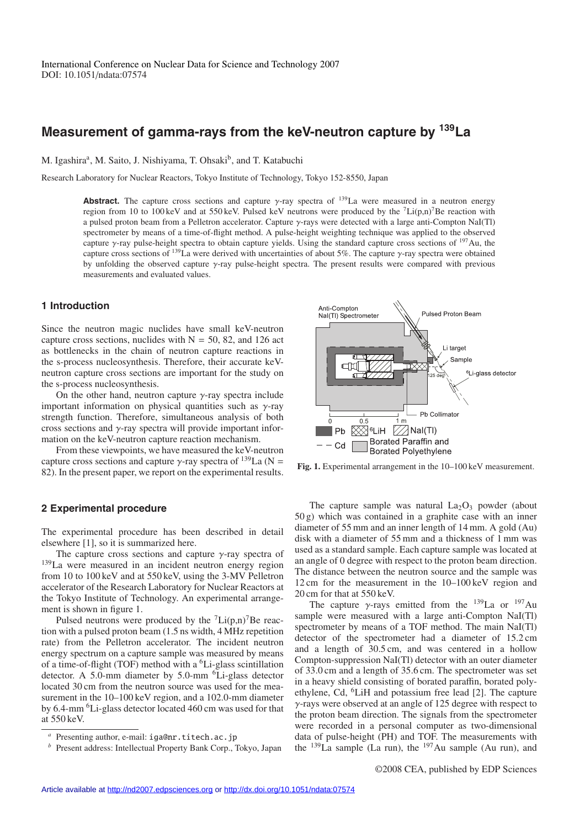# **Measurement of gamma-rays from the keV-neutron capture by 139La**

M. Igashira<sup>a</sup>, M. Saito, J. Nishiyama, T. Ohsaki<sup>b</sup>, and T. Katabuchi

Research Laboratory for Nuclear Reactors, Tokyo Institute of Technology, Tokyo 152-8550, Japan

**Abstract.** The capture cross sections and capture  $\gamma$ -ray spectra of <sup>139</sup>La were measured in a neutron energy region from 10 to 100 keV and at 550 keV. Pulsed keV neutrons were produced by the  $^7$ Li(p,n)<sup>7</sup>Be reaction with a pulsed proton beam from a Pelletron accelerator. Capture γ-rays were detected with a large anti-Compton NaI(Tl) spectrometer by means of a time-of-flight method. A pulse-height weighting technique was applied to the observed capture γ-ray pulse-height spectra to obtain capture yields. Using the standard capture cross sections of 197Au, the capture cross sections of 139La were derived with uncertainties of about 5%. The capture γ-ray spectra were obtained by unfolding the observed capture γ-ray pulse-height spectra. The present results were compared with previous measurements and evaluated values.

### **1 Introduction**

Since the neutron magic nuclides have small keV-neutron capture cross sections, nuclides with  $N = 50$ , 82, and 126 act as bottlenecks in the chain of neutron capture reactions in the s-process nucleosynthesis. Therefore, their accurate keVneutron capture cross sections are important for the study on the s-process nucleosynthesis.

On the other hand, neutron capture  $\nu$ -ray spectra include important information on physical quantities such as  $\gamma$ -ray strength function. Therefore, simultaneous analysis of both cross sections and  $\gamma$ -ray spectra will provide important information on the keV-neutron capture reaction mechanism.

From these viewpoints, we have measured the keV-neutron capture cross sections and capture γ-ray spectra of  $^{139}$ La (N = 82). In the present paper, we report on the experimental results.

#### **2 Experimental procedure**

The experimental procedure has been described in detail elsewhere [1], so it is summarized here.

The capture cross sections and capture  $\gamma$ -ray spectra of 139La were measured in an incident neutron energy region from 10 to 100 keV and at 550 keV, using the 3-MV Pelletron accelerator of the Research Laboratory for Nuclear Reactors at the Tokyo Institute of Technology. An experimental arrangement is shown in figure 1.

Pulsed neutrons were produced by the  ${}^{7}$ Li(p,n)<sup>7</sup>Be reaction with a pulsed proton beam (1.5 ns width, 4 MHz repetition rate) from the Pelletron accelerator. The incident neutron energy spectrum on a capture sample was measured by means of a time-of-flight (TOF) method with a  ${}^{6}$ Li-glass scintillation detector. A 5.0-mm diameter by  $5.0$ -mm  ${}^{6}$ Li-glass detector located 30 cm from the neutron source was used for the measurement in the 10–100 keV region, and a 102.0-mm diameter by 6.4-mm 6Li-glass detector located 460 cm was used for that at 550 keV.



**Fig. 1.** Experimental arrangement in the 10–100 keV measurement.

The capture sample was natural  $La<sub>2</sub>O<sub>3</sub>$  powder (about 50 g) which was contained in a graphite case with an inner diameter of 55 mm and an inner length of 14 mm. A gold (Au) disk with a diameter of 55 mm and a thickness of 1 mm was used as a standard sample. Each capture sample was located at an angle of 0 degree with respect to the proton beam direction. The distance between the neutron source and the sample was 12 cm for the measurement in the 10–100 keV region and 20 cm for that at 550 keV.

The capture  $\gamma$ -rays emitted from the <sup>139</sup>La or <sup>197</sup>Au sample were measured with a large anti-Compton NaI(Tl) spectrometer by means of a TOF method. The main NaI(Tl) detector of the spectrometer had a diameter of 15.2 cm and a length of 30.5 cm, and was centered in a hollow Compton-suppression NaI(Tl) detector with an outer diameter of 33.0 cm and a length of 35.6 cm. The spectrometer was set in a heavy shield consisting of borated paraffin, borated polyethylene, Cd, 6LiH and potassium free lead [2]. The capture γ-rays were observed at an angle of 125 degree with respect to the proton beam direction. The signals from the spectrometer were recorded in a personal computer as two-dimensional data of pulse-height (PH) and TOF. The measurements with the  $139$ La sample (La run), the  $197$ Au sample (Au run), and

*<sup>a</sup>* Presenting author, e-mail: iga@nr.titech.ac.jp *<sup>b</sup>* Present address: Intellectual Property Bank Corp., Tokyo, Japan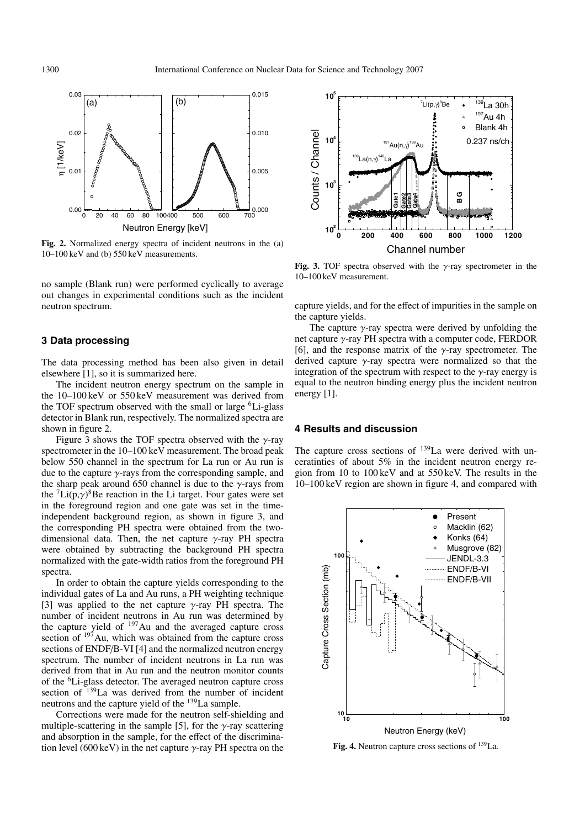

**Fig. 2.** Normalized energy spectra of incident neutrons in the (a) 10–100 keV and (b) 550 keV measurements.

no sample (Blank run) were performed cyclically to average out changes in experimental conditions such as the incident neutron spectrum.

#### **3 Data processing**

The data processing method has been also given in detail elsewhere [1], so it is summarized here.

The incident neutron energy spectrum on the sample in the 10–100 keV or 550 keV measurement was derived from the TOF spectrum observed with the small or large  ${}^{6}$ Li-glass detector in Blank run, respectively. The normalized spectra are shown in figure 2.

Figure 3 shows the TOF spectra observed with the  $\gamma$ -ray spectrometer in the 10–100 keV measurement. The broad peak below 550 channel in the spectrum for La run or Au run is due to the capture  $\gamma$ -rays from the corresponding sample, and the sharp peak around 650 channel is due to the  $\gamma$ -rays from the  ${}^{7}$ Li(p, $\gamma$ )<sup>8</sup>Be reaction in the Li target. Four gates were set in the foreground region and one gate was set in the timeindependent background region, as shown in figure 3, and the corresponding PH spectra were obtained from the twodimensional data. Then, the net capture  $\gamma$ -ray PH spectra were obtained by subtracting the background PH spectra normalized with the gate-width ratios from the foreground PH spectra.

In order to obtain the capture yields corresponding to the individual gates of La and Au runs, a PH weighting technique [3] was applied to the net capture  $\gamma$ -ray PH spectra. The number of incident neutrons in Au run was determined by the capture yield of  $197$ Au and the averaged capture cross section of  $197$  Au, which was obtained from the capture cross sections of ENDF/B-VI [4] and the normalized neutron energy spectrum. The number of incident neutrons in La run was derived from that in Au run and the neutron monitor counts of the 6Li-glass detector. The averaged neutron capture cross section of <sup>139</sup>La was derived from the number of incident neutrons and the capture yield of the 139La sample.

Corrections were made for the neutron self-shielding and multiple-scattering in the sample [5], for the  $\gamma$ -ray scattering and absorption in the sample, for the effect of the discrimination level (600 keV) in the net capture  $\gamma$ -ray PH spectra on the



**Fig. 3.** TOF spectra observed with the γ-ray spectrometer in the 10–100 keV measurement.

capture yields, and for the effect of impurities in the sample on the capture yields.

The capture  $\gamma$ -ray spectra were derived by unfolding the net capture γ-ray PH spectra with a computer code, FERDOR [6], and the response matrix of the  $\gamma$ -ray spectrometer. The derived capture γ-ray spectra were normalized so that the integration of the spectrum with respect to the  $\gamma$ -ray energy is equal to the neutron binding energy plus the incident neutron energy [1].

## **4 Results and discussion**

The capture cross sections of <sup>139</sup>La were derived with unceratinties of about 5% in the incident neutron energy region from 10 to 100 keV and at 550 keV. The results in the 10–100 keV region are shown in figure 4, and compared with



Fig. 4. Neutron capture cross sections of <sup>139</sup>La.